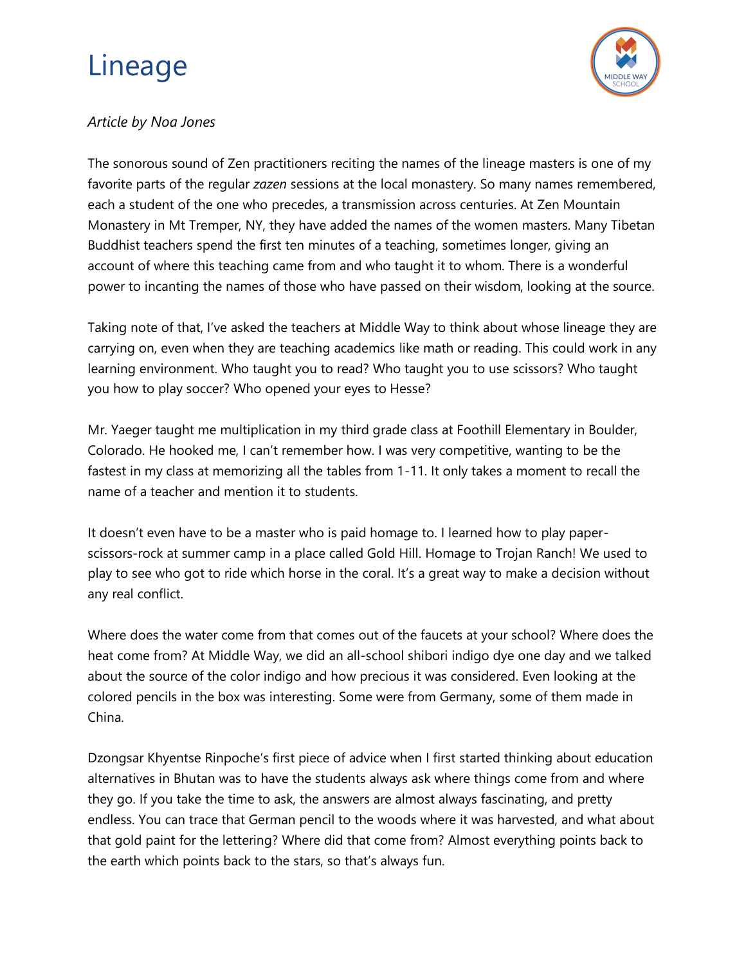## Lineage



## *Article by Noa Jones*

The sonorous sound of Zen practitioners reciting the names of the lineage masters is one of my favorite parts of the regular *zazen* sessions at the local monastery. So many names remembered, each a student of the one who precedes, a transmission across centuries. At Zen Mountain Monastery in Mt Tremper, NY, they have added the names of the women masters. Many Tibetan Buddhist teachers spend the first ten minutes of a teaching, sometimes longer, giving an account of where this teaching came from and who taught it to whom. There is a wonderful power to incanting the names of those who have passed on their wisdom, looking at the source.

Taking note of that, I've asked the teachers at Middle Way to think about whose lineage they are carrying on, even when they are teaching academics like math or reading. This could work in any learning environment. Who taught you to read? Who taught you to use scissors? Who taught you how to play soccer? Who opened your eyes to Hesse?

Mr. Yaeger taught me multiplication in my third grade class at Foothill Elementary in Boulder, Colorado. He hooked me, I can't remember how. I was very competitive, wanting to be the fastest in my class at memorizing all the tables from 1-11. It only takes a moment to recall the name of a teacher and mention it to students.

It doesn't even have to be a master who is paid homage to. I learned how to play paperscissors-rock at summer camp in a place called Gold Hill. Homage to Trojan Ranch! We used to play to see who got to ride which horse in the coral. It's a great way to make a decision without any real conflict.

Where does the water come from that comes out of the faucets at your school? Where does the heat come from? At Middle Way, we did an all-school shibori indigo dye one day and we talked about the source of the color indigo and how precious it was considered. Even looking at the colored pencils in the box was interesting. Some were from Germany, some of them made in China.

Dzongsar Khyentse Rinpoche's first piece of advice when I first started thinking about education alternatives in Bhutan was to have the students always ask where things come from and where they go. If you take the time to ask, the answers are almost always fascinating, and pretty endless. You can trace that German pencil to the woods where it was harvested, and what about that gold paint for the lettering? Where did that come from? Almost everything points back to the earth which points back to the stars, so that's always fun.